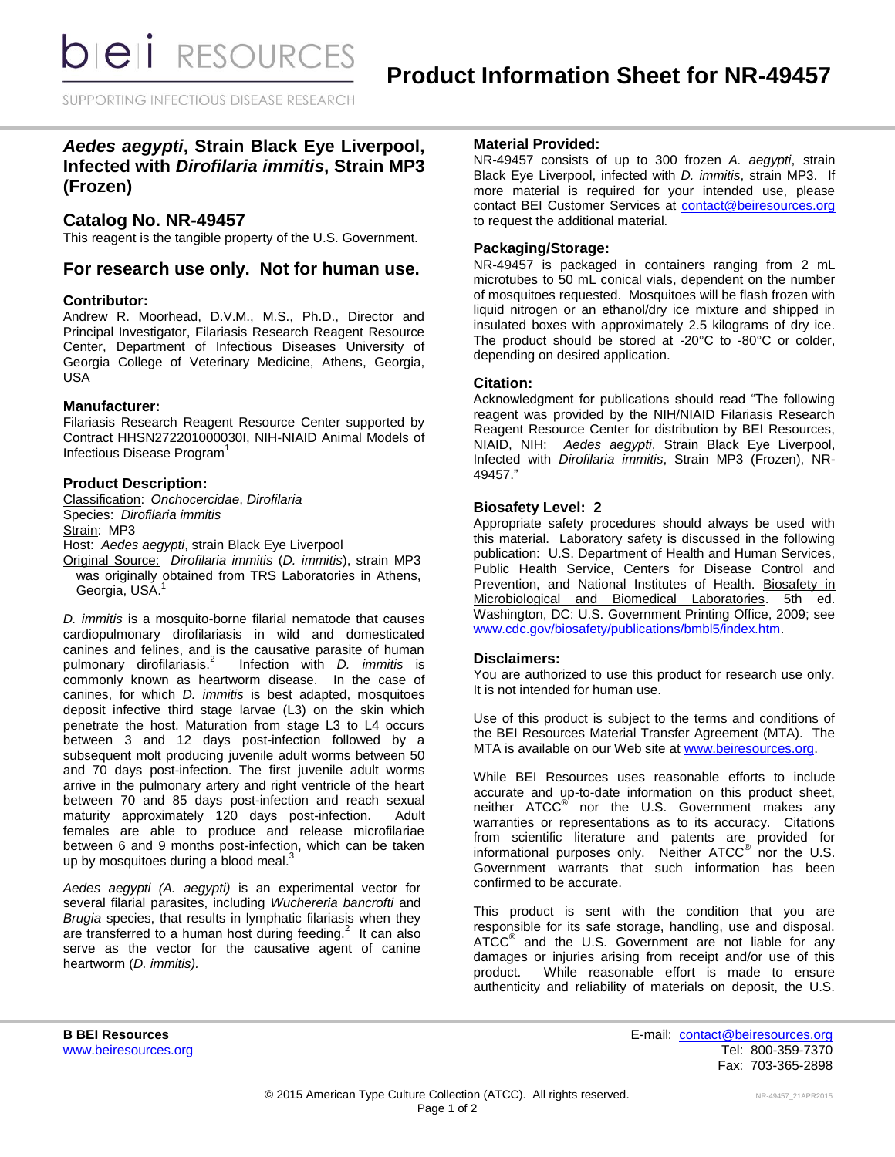*DIEI RESOURCES* 

SUPPORTING INFECTIOUS DISEASE RESEARCH

# *Aedes aegypti***, Strain Black Eye Liverpool, Infected with** *Dirofilaria immitis***, Strain MP3 (Frozen)**

## **Catalog No. NR-49457**

This reagent is the tangible property of the U.S. Government.

# **For research use only. Not for human use.**

## **Contributor:**

Andrew R. Moorhead, D.V.M., M.S., Ph.D., Director and Principal Investigator, Filariasis Research Reagent Resource Center, Department of Infectious Diseases University of Georgia College of Veterinary Medicine, Athens, Georgia, USA

## **Manufacturer:**

Filariasis Research Reagent Resource Center supported by Contract HHSN272201000030I, NIH-NIAID Animal Models of Infectious Disease Program<sup>1</sup>

## **Product Description:**

Classification: *Onchocercidae*, *Dirofilaria* Species: *Dirofilaria immitis* Strain: MP3 Host: *Aedes aegypti*, strain Black Eye Liverpool Original Source: *Dirofilaria immitis* (*D. immitis*), strain MP3 was originally obtained from TRS Laboratories in Athens, Georgia, USA.<sup>1</sup>

*D. immitis* is a mosquito-borne filarial nematode that causes cardiopulmonary dirofilariasis in wild and domesticated canines and felines, and is the causative parasite of human pulmonary dirofilariasis.<sup>2</sup> Infection with *D. immitis* is commonly known as heartworm disease. In the case of canines, for which *D. immitis* is best adapted, mosquitoes deposit infective third stage larvae (L3) on the skin which penetrate the host. Maturation from stage L3 to L4 occurs between 3 and 12 days post-infection followed by a subsequent molt producing juvenile adult worms between 50 and 70 days post-infection. The first juvenile adult worms arrive in the pulmonary artery and right ventricle of the heart between 70 and 85 days post-infection and reach sexual maturity approximately 120 days post-infection. Adult females are able to produce and release microfilariae between 6 and 9 months post-infection, which can be taken up by mosquitoes during a blood meal. $3$ 

*Aedes aegypti (A. aegypti)* is an experimental vector for several filarial parasites, including *Wuchereria bancrofti* and *Brugia* species, that results in lymphatic filariasis when they are transferred to a human host during feeding. $2$  It can also serve as the vector for the causative agent of canine heartworm (*D. immitis).*

## **Material Provided:**

NR-49457 consists of up to 300 frozen *A. aegypti*, strain Black Eye Liverpool, infected with *D. immitis*, strain MP3. If more material is required for your intended use, please contact BEI Customer Services at [contact@beiresources.org](mailto:contact@beiresources.org) to request the additional material*.*

## **Packaging/Storage:**

NR-49457 is packaged in containers ranging from 2 mL microtubes to 50 mL conical vials, dependent on the number of mosquitoes requested. Mosquitoes will be flash frozen with liquid nitrogen or an ethanol/dry ice mixture and shipped in insulated boxes with approximately 2.5 kilograms of dry ice. The product should be stored at -20°C to -80°C or colder, depending on desired application.

## **Citation:**

Acknowledgment for publications should read "The following reagent was provided by the NIH/NIAID Filariasis Research Reagent Resource Center for distribution by BEI Resources, NIAID, NIH: *Aedes aegypti*, Strain Black Eye Liverpool, Infected with *Dirofilaria immitis*, Strain MP3 (Frozen), NR-49457."

## **Biosafety Level: 2**

Appropriate safety procedures should always be used with this material. Laboratory safety is discussed in the following publication: U.S. Department of Health and Human Services, Public Health Service, Centers for Disease Control and Prevention, and National Institutes of Health. Biosafety in Microbiological and Biomedical Laboratories. 5th ed. Washington, DC: U.S. Government Printing Office, 2009; see [www.cdc.gov/biosafety/publications/bmbl5/index.htm.](http://www.cdc.gov/biosafety/publications/bmbl5/index.htm)

#### **Disclaimers:**

You are authorized to use this product for research use only. It is not intended for human use.

Use of this product is subject to the terms and conditions of the BEI Resources Material Transfer Agreement (MTA). The MTA is available on our Web site at [www.beiresources.org.](http://www.beiresources.org/)

While BEI Resources uses reasonable efforts to include accurate and up-to-date information on this product sheet, neither ATCC<sup>®</sup> nor the U.S. Government makes any warranties or representations as to its accuracy. Citations from scientific literature and patents are provided for informational purposes only. Neither  $\tt ATCC^@$  nor the U.S. Government warrants that such information has been confirmed to be accurate.

This product is sent with the condition that you are responsible for its safe storage, handling, use and disposal. ATCC<sup>®</sup> and the U.S. Government are not liable for any damages or injuries arising from receipt and/or use of this product. While reasonable effort is made to ensure authenticity and reliability of materials on deposit, the U.S.

**B BEI Resources** E-mail: [contact@beiresources.org](mailto:contact@beiresources.org) [www.beiresources.org](http://www.beiresources.org/) **William Struck and Tel: 800-359-7370** Fax: 703-365-2898